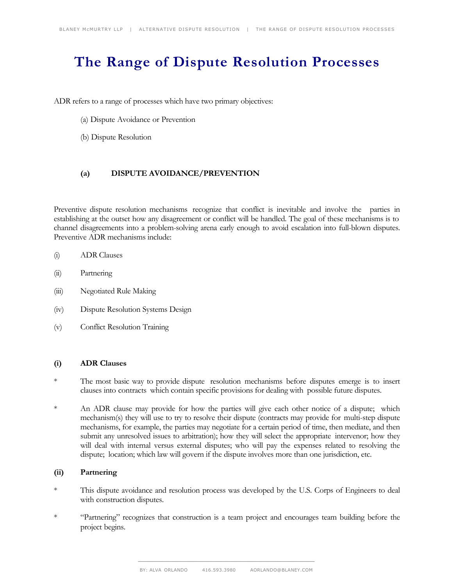# **The Range of Dispute Resolution Processes**

ADR refers to a range of processes which have two primary objectives:

- (a) Dispute Avoidance or Prevention
- (b) Dispute Resolution

## **(a) DISPUTE AVOIDANCE/PREVENTION**

Preventive dispute resolution mechanisms recognize that conflict is inevitable and involve the parties in establishing at the outset how any disagreement or conflict will be handled. The goal of these mechanisms is to channel disagreements into a problem-solving arena early enough to avoid escalation into full-blown disputes. Preventive ADR mechanisms include:

- (i) ADR Clauses
- (ii) Partnering
- (iii) Negotiated Rule Making
- (iv) Dispute Resolution Systems Design
- (v) Conflict Resolution Training

#### **(i) ADR Clauses**

- \* The most basic way to provide dispute resolution mechanisms before disputes emerge is to insert clauses into contracts which contain specific provisions for dealing with possible future disputes.
- \* An ADR clause may provide for how the parties will give each other notice of a dispute; which mechanism(s) they will use to try to resolve their dispute (contracts may provide for multi-step dispute mechanisms, for example, the parties may negotiate for a certain period of time, then mediate, and then submit any unresolved issues to arbitration); how they will select the appropriate intervenor; how they will deal with internal versus external disputes; who will pay the expenses related to resolving the dispute; location; which law will govern if the dispute involves more than one jurisdiction, etc.

## **(ii) Partnering**

- \* This dispute avoidance and resolution process was developed by the U.S. Corps of Engineers to deal with construction disputes.
- \* "Partnering" recognizes that construction is a team project and encourages team building before the project begins.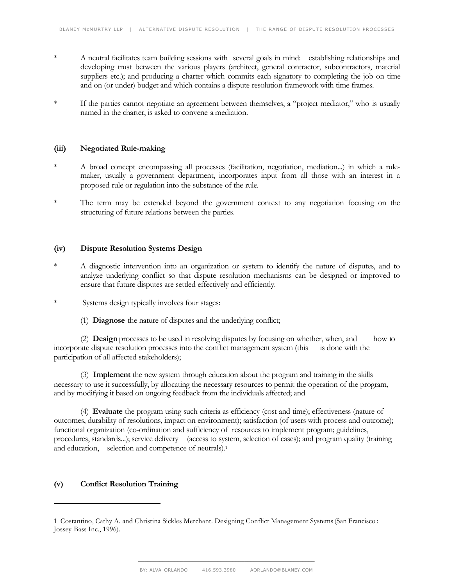- \* A neutral facilitates team building sessions with several goals in mind: establishing relationships and developing trust between the various players (architect, general contractor, subcontractors, material suppliers etc.); and producing a charter which commits each signatory to completing the job on time and on (or under) budget and which contains a dispute resolution framework with time frames.
- \* If the parties cannot negotiate an agreement between themselves, a "project mediator," who is usually named in the charter, is asked to convene a mediation.

## **(iii) Negotiated Rule-making**

- A broad concept encompassing all processes (facilitation, negotiation, mediation...) in which a rulemaker, usually a government department, incorporates input from all those with an interest in a proposed rule or regulation into the substance of the rule.
- \* The term may be extended beyond the government context to any negotiation focusing on the structuring of future relations between the parties.

# **(iv) Dispute Resolution Systems Design**

- \* A diagnostic intervention into an organization or system to identify the nature of disputes, and to analyze underlying conflict so that dispute resolution mechanisms can be designed or improved to ensure that future disputes are settled effectively and efficiently.
- \* Systems design typically involves four stages:
	- (1) **Diagnose** the nature of disputes and the underlying conflict;

(2) **Design** processes to be used in resolving disputes by focusing on whether, when, and how to incorporate dispute resolution processes into the conflict management system (this is done with the participation of all affected stakeholders);

(3) **Implement** the new system through education about the program and training in the skills necessary to use it successfully, by allocating the necessary resources to permit the operation of the program, and by modifying it based on ongoing feedback from the individuals affected; and

(4) **Evaluate** the program using such criteria as efficiency (cost and time); effectiveness (nature of outcomes, durability of resolutions, impact on environment); satisfaction (of users with process and outcome); functional organization (co-ordination and sufficiency of resources to implement program; guidelines, procedures, standards...); service delivery (access to system, selection of cases); and program quality (training and education, selection and competence of neutrals).<sup>1</sup>

#### **(v) Conflict Resolution Training**

 $\overline{a}$ 

<sup>1</sup> Costantino, Cathy A. and Christina Sickles Merchant. Designing Conflict Management Systems (San Francisco: Jossey-Bass Inc., 1996).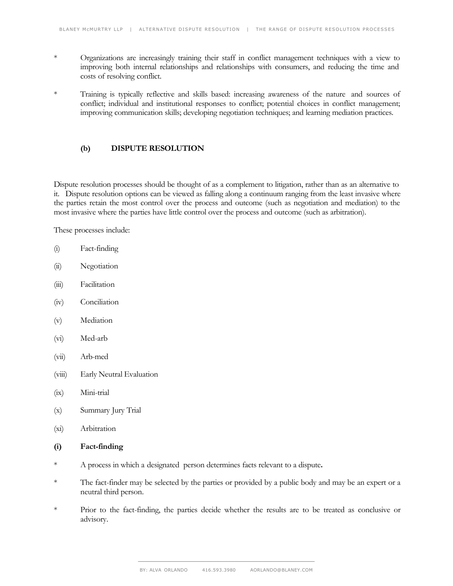- \* Organizations are increasingly training their staff in conflict management techniques with a view to improving both internal relationships and relationships with consumers, and reducing the time and costs of resolving conflict.
- \* Training is typically reflective and skills based: increasing awareness of the nature and sources of conflict; individual and institutional responses to conflict; potential choices in conflict management; improving communication skills; developing negotiation techniques; and learning mediation practices.

## **(b) DISPUTE RESOLUTION**

Dispute resolution processes should be thought of as a complement to litigation, rather than as an alternative to it. Dispute resolution options can be viewed as falling along a continuum ranging from the least invasive where the parties retain the most control over the process and outcome (such as negotiation and mediation) to the most invasive where the parties have little control over the process and outcome (such as arbitration).

These processes include:

- (i) Fact-finding
- (ii) Negotiation
- (iii) Facilitation
- (iv) Conciliation
- (v) Mediation
- (vi) Med-arb
- (vii) Arb-med
- (viii) Early Neutral Evaluation
- (ix) Mini-trial
- (x) Summary Jury Trial
- (xi) Arbitration

#### **(i) Fact-finding**

- \* A process in which a designated person determines facts relevant to a dispute**.**
- \* The fact-finder may be selected by the parties or provided by a public body and may be an expert or a neutral third person.
- \* Prior to the fact-finding, the parties decide whether the results are to be treated as conclusive or advisory.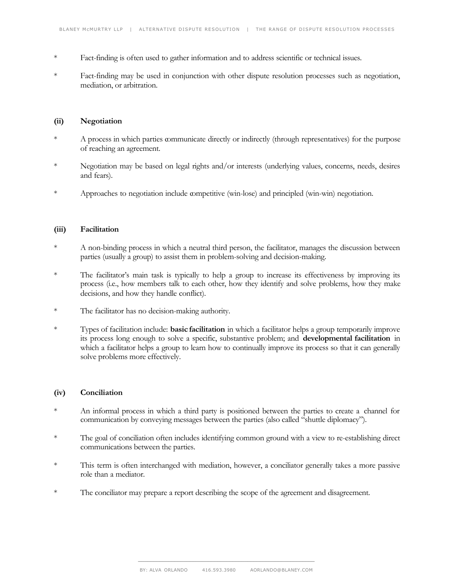- \* Fact-finding is often used to gather information and to address scientific or technical issues.
- \* Fact-finding may be used in conjunction with other dispute resolution processes such as negotiation, mediation, or arbitration.

#### **(ii) Negotiation**

- \* A process in which parties communicate directly or indirectly (through representatives) for the purpose of reaching an agreement.
- \* Negotiation may be based on legal rights and/or interests (underlying values, concerns, needs, desires and fears).
- \* Approaches to negotiation include competitive (win-lose) and principled (win-win) negotiation.

# **(iii) Facilitation**

- \* A non-binding process in which a neutral third person, the facilitator, manages the discussion between parties (usually a group) to assist them in problem-solving and decision-making.
- \* The facilitator's main task is typically to help a group to increase its effectiveness by improving its process (i.e., how members talk to each other, how they identify and solve problems, how they make decisions, and how they handle conflict).
- \* The facilitator has no decision-making authority.
- \* Types of facilitation include: **basic facilitation** in which a facilitator helps a group temporarily improve its process long enough to solve a specific, substantive problem; and **developmental facilitation** in which a facilitator helps a group to learn how to continually improve its process so that it can generally solve problems more effectively.

# **(iv) Conciliation**

- \* An informal process in which a third party is positioned between the parties to create a channel for communication by conveying messages between the parties (also called "shuttle diplomacy").
- \* The goal of conciliation often includes identifying common ground with a view to re-establishing direct communications between the parties.
- \* This term is often interchanged with mediation, however, a conciliator generally takes a more passive role than a mediator.
- \* The conciliator may prepare a report describing the scope of the agreement and disagreement.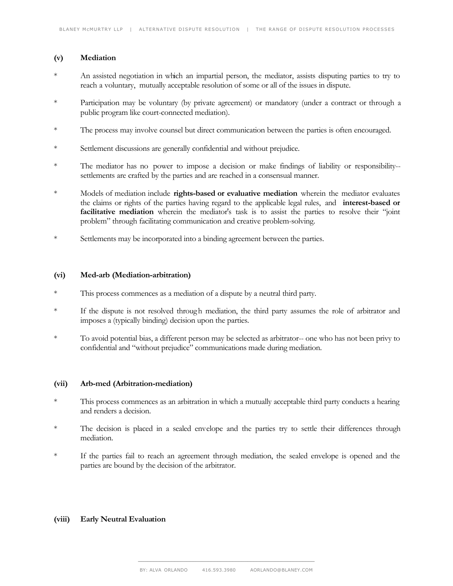### **(v) Mediation**

- An assisted negotiation in which an impartial person, the mediator, assists disputing parties to try to reach a voluntary, mutually acceptable resolution of some or all of the issues in dispute.
- \* Participation may be voluntary (by private agreement) or mandatory (under a contract or through a public program like court-connected mediation).
- \* The process may involve counsel but direct communication between the parties is often encouraged.
- \* Settlement discussions are generally confidential and without prejudice.
- \* The mediator has no power to impose a decision or make findings of liability or responsibility- settlements are crafted by the parties and are reached in a consensual manner.
- \* Models of mediation include **rights-based or evaluative mediation** wherein the mediator evaluates the claims or rights of the parties having regard to the applicable legal rules, and **interest-based or** facilitative mediation wherein the mediator's task is to assist the parties to resolve their "joint problem" through facilitating communication and creative problem-solving.
- \* Settlements may be incorporated into a binding agreement between the parties.

#### **(vi) Med-arb (Mediation-arbitration)**

- \* This process commences as a mediation of a dispute by a neutral third party.
- \* If the dispute is not resolved through mediation, the third party assumes the role of arbitrator and imposes a (typically binding) decision upon the parties.
- \* To avoid potential bias, a different person may be selected as arbitrator-- one who has not been privy to confidential and "without prejudice" communications made during mediation.

#### **(vii) Arb-med (Arbitration-mediation)**

- This process commences as an arbitration in which a mutually acceptable third party conducts a hearing and renders a decision.
- The decision is placed in a sealed envelope and the parties try to settle their differences through mediation.
- \* If the parties fail to reach an agreement through mediation, the sealed envelope is opened and the parties are bound by the decision of the arbitrator.

# **(viii) Early Neutral Evaluation**